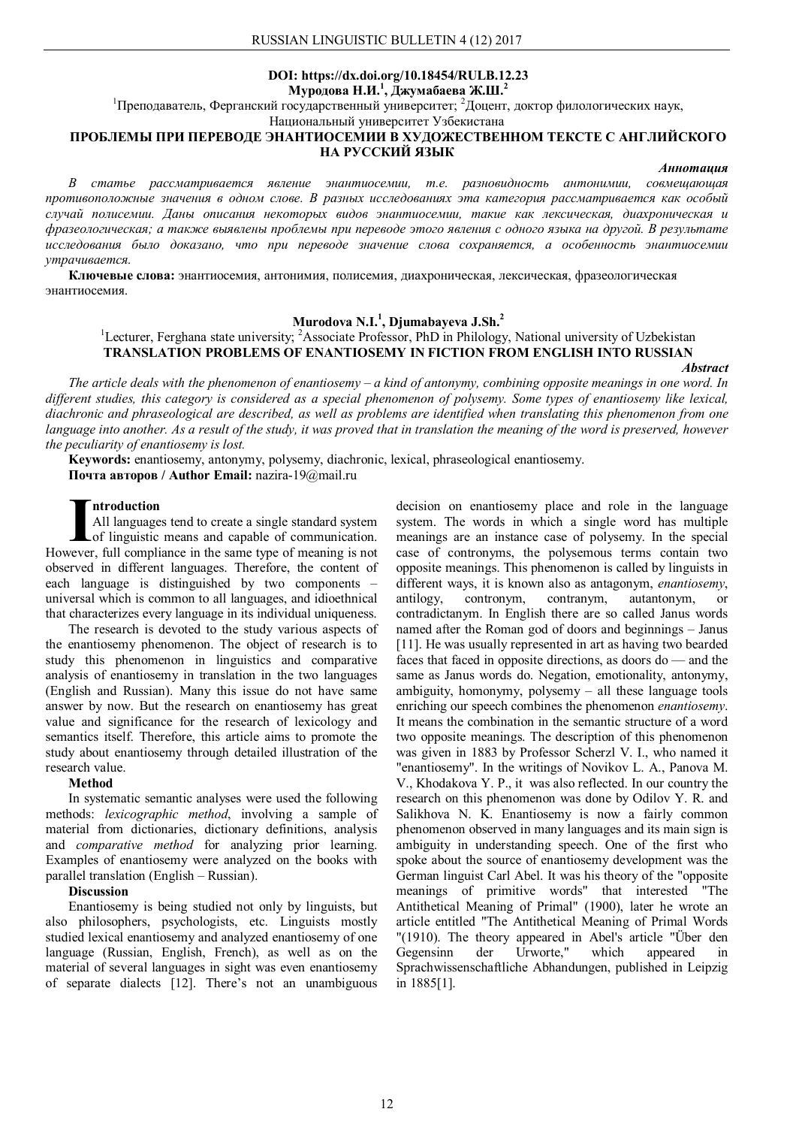# **DOI: https://dx.doi.org/10.18454/RULB.12.23 Муродова Н.И.<sup>1</sup> , Джумабаева Ж.Ш.<sup>2</sup>**

<sup>1</sup>Преподаватель, Ферганский государственный университет; <sup>2</sup>Доцент, доктор филологических наук,

Национальный университет Узбекистана

# **ПРОБЛЕМЫ ПРИ ПЕРЕВОДЕ ЭНАНТИОСЕМИИ В ХУДОЖЕСТВЕННОМ ТЕКСТЕ С АНГЛИЙСКОГО НА РУССКИЙ ЯЗЫК**

### *Аннотация*

*В статье рассматривается явление энантиосемии, т.е. разновидность антонимии, совмещающая противоположные значения в одном слове. В разных исследованиях эта категория рассматривается как особый случай полисемии. Даны описания некоторых видов энантиосемии, такие как лексическая, диахроническая и фразеологическая; а также выявлены проблемы при переводе этого явления с одного языка на другой. В результате исследования было доказано, что при переводе значение слова сохраняется, а особенность энантиосемии утрачивается.*

**Ключевые слова:** энантиосемия, антонимия, полисемия, диахроническая, лексическая, фразеологическая энантиосемия.

# **Murodova N.I.<sup>1</sup> , Djumabayeva J.Sh.<sup>2</sup>**

<sup>1</sup>Lecturer, Ferghana state university; <sup>2</sup>Associate Professor, PhD in Philology, National university of Uzbekistan **TRANSLATION PROBLEMS OF ENANTIOSEMY IN FICTION FROM ENGLISH INTO RUSSIAN**

*Abstract*

*The article deals with the phenomenon of enantiosemy – a kind of antonymy, combining opposite meanings in one word. In different studies, this category is considered as a special phenomenon of polysemy. Some types of enantiosemy like lexical, diachronic and phraseological are described, as well as problems are identified when translating this phenomenon from one language into another. As a result of the study, it was proved that in translation the meaning of the word is preserved, however the peculiarity of enantiosemy is lost.*

**Keywords:** enantiosemy, antonymy, polysemy, diachronic, lexical, phraseological enantiosemy. **Почта авторов / Author Email:** nazira-19@mail.ru

#### **ntroduction**

All languages tend to create a single standard system of linguistic means and capable of communication. However, full compliance in the same type of meaning is not **I**observed in different languages. Therefore, the content of each language is distinguished by two components universal which is common to all languages, and idioethnical that characterizes every language in its individual uniqueness.

The research is devoted to the study various aspects of the enantiosemy phenomenon. The object of research is to study this phenomenon in linguistics and comparative analysis of enantiosemy in translation in the two languages (English and Russian). Many this issue do not have same answer by now. But the research on enantiosemy has great value and significance for the research of lexicology and semantics itself. Therefore, this article aims to promote the study about enantiosemy through detailed illustration of the research value.

#### **Method**

In systematic semantic analyses were used the following methods: *lexicographic method*, involving a sample of material from dictionaries, dictionary definitions, analysis and *comparative method* for analyzing prior learning. Examples of enantiosemy were analyzed on the books with parallel translation (English – Russian).

#### **Discussion**

Enantiosemy is being studied not only by linguists, but also philosophers, psychologists, etc. Linguists mostly studied lexical enantiosemy and analyzed enantiosemy of one language (Russian, English, French), as well as on the material of several languages in sight was even enantiosemy of separate dialects [12]. There's not an unambiguous

decision on enantiosemy place and role in the language system. The words in which a single word has multiple meanings are an instance case of polysemy. In the special case of contronyms, the polysemous terms contain two opposite meanings. This phenomenon is called by linguists in different ways, it is known also as antagonym, *enantiosemy*, antilogy, contronym, contranym, autantonym, or contradictanym. In English there are so called Janus words named after the Roman god of doors and beginnings – Janus [11]. He was usually represented in art as having two bearded faces that faced in opposite directions, as doors do — and the same as Janus words do. Negation, emotionality, antonymy, ambiguity, homonymy, polysemy – all these language tools enriching our speech combines the phenomenon *enantiosemy*. It means the combination in the semantic structure of a word two opposite meanings. The description of this phenomenon was given in 1883 by Professor Scherzl V. I., who named it "enantiosemy". In the writings of Novikov L. A., Panova M. V., Khodakova Y. P., it was also reflected. In our country the research on this phenomenon was done by Odilov Y. R. and Salikhova N. K. Enantiosemy is now a fairly common phenomenon observed in many languages and its main sign is ambiguity in understanding speech. One of the first who spoke about the source of enantiosemy development was the German linguist Carl Abel. It was his theory of the "opposite meanings of primitive words" that interested "The Antithetical Meaning of Primal" (1900), later he wrote an article entitled "The Antithetical Meaning of Primal Words "(1910). The theory appeared in Abel's article "Über den Gegensinn der Urworte," which appeared in Sprachwissenschaftliche Abhandungen, published in Leipzig in 1885[1].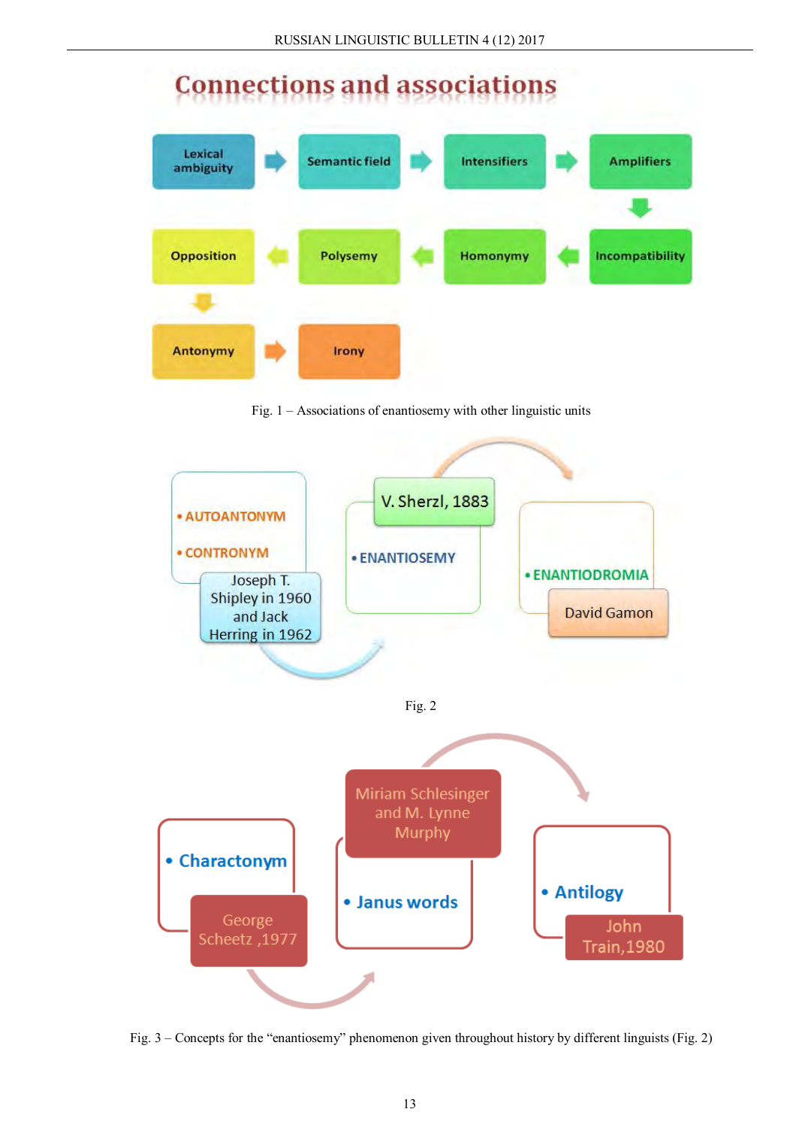# **Connections and associations**



Fig. 1 – Associations of enantiosemy with other linguistic units



Fig. 3 – Concepts for the "enantiosemy" phenomenon given throughout history by different linguists (Fig. 2)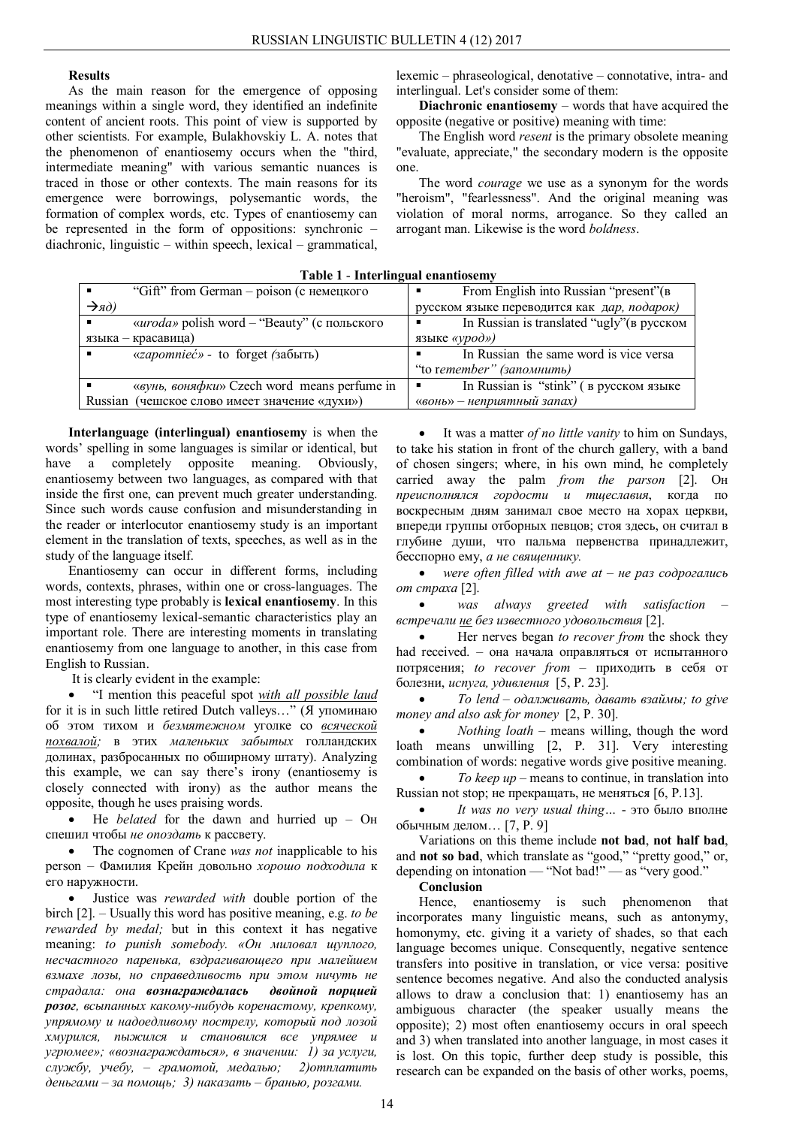# **Results**

As the main reason for the emergence of opposing meanings within a single word, they identified an indefinite content of ancient roots. This point of view is supported by other scientists. For example, Bulakhovskiy L. A. notes that the phenomenon of enantiosemy occurs when the "third, intermediate meaning" with various semantic nuances is traced in those or other contexts. The main reasons for its emergence were borrowings, polysemantic words, the formation of complex words, etc. Types of enantiosemy can be represented in the form of oppositions: synchronic – diachronic, linguistic – within speech, lexical – grammatical,

lexemic – phraseological, denotative – connotative, intra- and interlingual. Let's consider some of them:

**Diachronic enantiosemy** – words that have acquired the opposite (negative or positive) meaning with time:

The English word *resent* is the primary obsolete meaning "evaluate, appreciate," the secondary modern is the opposite one.

The word *courage* we use as a synonym for the words "heroism", "fearlessness". And the original meaning was violation of moral norms, arrogance. So they called an arrogant man. Likewise is the word *boldness*.

| $-$ , $-$ , $-$ , $-$ , $-$ , $-$ , $-$ , $-$ , $-$ , $-$ , $-$ , $-$ , $-$ , $-$ , $-$ , $-$ , $-$ , $-$ , $-$ , $-$ , $-$ , $-$ , $-$ , $-$ , $-$ , $-$ , $-$ , $-$ , $-$ , $-$ , $-$ , $-$ , $-$ , $-$ , $-$ , $-$ , $-$ , |                                                 |
|-------------------------------------------------------------------------------------------------------------------------------------------------------------------------------------------------------------------------------|-------------------------------------------------|
| "Gift" from German - poison (с немецкого<br>$\blacksquare$                                                                                                                                                                    | From English into Russian "present"(B)          |
| $\rightarrow$ яд)                                                                                                                                                                                                             | русском языке переводится как дар, подарок)     |
| « <i>uroda</i> » polish word – "Beauty" (с польского<br>$\blacksquare$                                                                                                                                                        | In Russian is translated "ugly" (в русском<br>п |
| языка – красавица)                                                                                                                                                                                                            | языке «урод»)                                   |
| «zapomnieć» - to forget (забыть)<br>$\blacksquare$                                                                                                                                                                            | In Russian the same word is vice versa          |
|                                                                                                                                                                                                                               | "to remember" (запомнить)                       |
| «вунь, воняфки» Czech word means perfume in                                                                                                                                                                                   | In Russian is "stink" (в русском языке<br>п     |
| Russian (чешское слово имеет значение «духи»)                                                                                                                                                                                 | «вонь» - неприятный запах)                      |

**Table 1** - **Interlingual enantiosemy**

**Interlanguage (interlingual) enantiosemy** is when the words' spelling in some languages is similar or identical, but have a completely opposite meaning. Obviously, enantiosemy between two languages, as compared with that inside the first one, can prevent much greater understanding. Since such words cause confusion and misunderstanding in the reader or interlocutor enantiosemy study is an important element in the translation of texts, speeches, as well as in the study of the language itself.

Enantiosemy can occur in different forms, including words, contexts, phrases, within one or cross-languages. The most interesting type probably is **lexical enantiosemy**. In this type of enantiosemy lexical-semantic characteristics play an important role. There are interesting moments in translating enantiosemy from one language to another, in this case from English to Russian.

It is clearly evident in the example:

 "I mention this peaceful spot *with all possible laud* for it is in such little retired Dutch valleys…" (Я упоминаю об этом тихом и *безмятежном* уголке со *всяческой похвалой;* в этих *маленьких забытых* голландских долинах, разбросанных по обширному штату). Analyzing this example, we can say there's irony (enantiosemy is closely connected with irony) as the author means the opposite, though he uses praising words.

• He *belated* for the dawn and hurried up – O<sub>H</sub> спешил чтобы *не опоздать* к рассвету.

 The cognomen of Crane *was not* inapplicable to his person – Фамилия Крейн довольно *хорошо подходила* к его наружности.

 Justice was *rewarded with* double portion of the birch [2]. – Usually this word has positive meaning, e.g. *to be rewarded by medal;* but in this context it has negative meaning: *to punish somebody. «Он миловал щуплого, несчастного паренька, вздрагивающего при малейшем взмахе лозы, но справедливость при этом ничуть не страдала: она вознаграждалась двойной порцией розог, всыпанных какому-нибудь коренастому, крепкому, упрямому и надоедливому пострелу, который под лозой хмурился, пыжился и становился все упрямее и угрюмее»; «вознаграждаться», в значении: 1) за услуги, службу, учебу, – грамотой, медалью; 2)отплатить деньгами – за помощь; 3) наказать – бранью, розгами.*

 It was a matter *of no little vanity* to him on Sundays, to take his station in front of the church gallery, with a band of chosen singers; where, in his own mind, he completely carried away the palm *from the parson* [2]. Он *преисполнялся гордости и тщеславия*, когда по воскресным дням занимал свое место на хорах церкви, впереди группы отборных певцов; стоя здесь, он считал в глубине души, что пальма первенства принадлежит, бесспорно ему, *а не священнику.*

 *were often filled with awe at – не раз содрогались от страха* [2].

 *was always greeted with satisfaction – встречали не без известного удовольствия* [2].

 Her nerves began *to recover from* the shock they had received. – она начала оправляться от испытанного потрясения; *to recover from* – приходить в себя от болезни, *испуга, удивления* [5, P. 23].

 *To lend – одалживать, давать взаймы; to give money and also ask for money* [2, P. 30].

• *Nothing loath* – means willing, though the word loath means unwilling [2, P. 31]. Very interesting combination of words: negative words give positive meaning.

 *To keep up –* means to continue, in translation into Russian not stop; не прекращать, не меняться [6, P.13].

 *It was no very usual thing…* - это было вполне обычным делом… [7, P. 9]

Variations on this theme include **not bad**, **not half bad**, and **not so bad**, which translate as "good," "pretty good," or, depending on intonation — "Not bad!" — as "very good."

**Conclusion**

Hence, enantiosemy is such phenomenon that incorporates many linguistic means, such as antonymy, homonymy, etc. giving it a variety of shades, so that each language becomes unique. Consequently, negative sentence transfers into positive in translation, or vice versa: positive sentence becomes negative. And also the conducted analysis allows to draw a conclusion that: 1) enantiosemy has an ambiguous character (the speaker usually means the opposite); 2) most often enantiosemy occurs in oral speech and 3) when translated into another language, in most cases it is lost. On this topic, further deep study is possible, this research can be expanded on the basis of other works, poems,